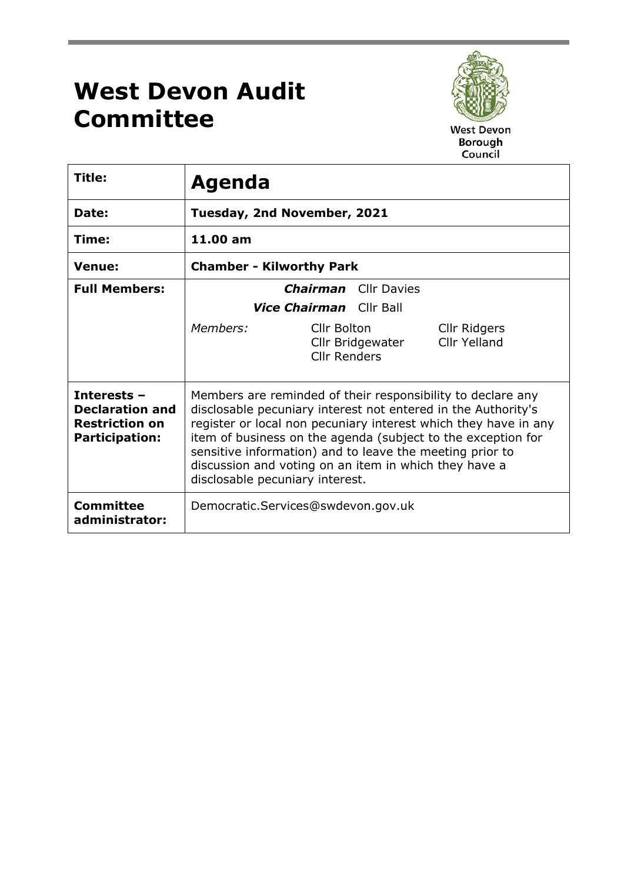## **West Devon Audit Committee**



West Devon<br>Borough Council

| Title:                                                                                  | <b>Agenda</b>                                                                                                                                                                                                                                                                                                                                                                                                           |  |  |
|-----------------------------------------------------------------------------------------|-------------------------------------------------------------------------------------------------------------------------------------------------------------------------------------------------------------------------------------------------------------------------------------------------------------------------------------------------------------------------------------------------------------------------|--|--|
| Date:                                                                                   | Tuesday, 2nd November, 2021                                                                                                                                                                                                                                                                                                                                                                                             |  |  |
| Time:                                                                                   | 11.00 am                                                                                                                                                                                                                                                                                                                                                                                                                |  |  |
| <b>Venue:</b>                                                                           | <b>Chamber - Kilworthy Park</b>                                                                                                                                                                                                                                                                                                                                                                                         |  |  |
| <b>Full Members:</b>                                                                    | <b>Chairman</b> Cllr Davies<br><b>Vice Chairman</b> Cllr Ball                                                                                                                                                                                                                                                                                                                                                           |  |  |
|                                                                                         | Members:<br>Cllr Bolton<br>Cllr Ridgers<br><b>Cllr Yelland</b><br>Cllr Bridgewater<br><b>Cllr Renders</b>                                                                                                                                                                                                                                                                                                               |  |  |
| Interests -<br><b>Declaration and</b><br><b>Restriction on</b><br><b>Participation:</b> | Members are reminded of their responsibility to declare any<br>disclosable pecuniary interest not entered in the Authority's<br>register or local non pecuniary interest which they have in any<br>item of business on the agenda (subject to the exception for<br>sensitive information) and to leave the meeting prior to<br>discussion and voting on an item in which they have a<br>disclosable pecuniary interest. |  |  |
| <b>Committee</b><br>administrator:                                                      | Democratic.Services@swdevon.gov.uk                                                                                                                                                                                                                                                                                                                                                                                      |  |  |